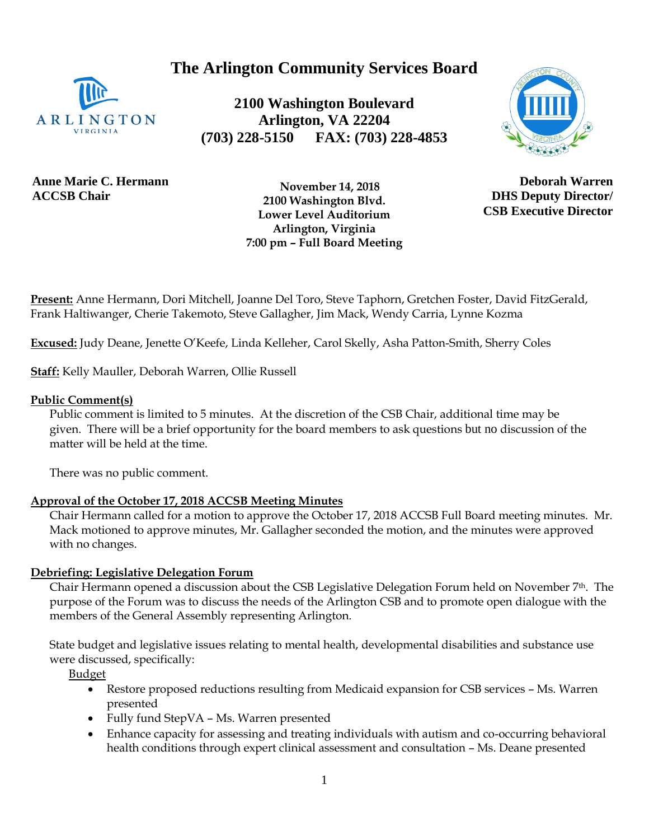**The Arlington Community Services Board**



**2100 Washington Boulevard Arlington, VA 22204 (703) 228-5150 FAX: (703) 228-4853**



**Anne Marie C. Hermann ACCSB Chair**

 **November 14, 2018 2100 Washington Blvd. Lower Level Auditorium Arlington, Virginia 7:00 pm – Full Board Meeting**

**Deborah Warren DHS Deputy Director/ CSB Executive Director**

**Present:** Anne Hermann, Dori Mitchell, Joanne Del Toro, Steve Taphorn, Gretchen Foster, David FitzGerald, Frank Haltiwanger, Cherie Takemoto, Steve Gallagher, Jim Mack, Wendy Carria, Lynne Kozma

**Excused:** Judy Deane, Jenette O'Keefe, Linda Kelleher, Carol Skelly, Asha Patton-Smith, Sherry Coles

**Staff:** Kelly Mauller, Deborah Warren, Ollie Russell

## **Public Comment(s)**

Public comment is limited to 5 minutes. At the discretion of the CSB Chair, additional time may be given. There will be a brief opportunity for the board members to ask questions [but](http://but.no/) no discussion of the matter will be held at the time.

There was no public comment.

# **Approval of the October 17, 2018 ACCSB Meeting Minutes**

Chair Hermann called for a motion to approve the October 17, 2018 ACCSB Full Board meeting minutes. Mr. Mack motioned to approve minutes, Mr. Gallagher seconded the motion, and the minutes were approved with no changes.

## **Debriefing: Legislative Delegation Forum**

Chair Hermann opened a discussion about the CSB Legislative Delegation Forum held on November 7th. The purpose of the Forum was to discuss the needs of the Arlington CSB and to promote open dialogue with the members of the General Assembly representing Arlington.

State budget and legislative issues relating to mental health, developmental disabilities and substance use were discussed, specifically:

Budget

- Restore proposed reductions resulting from Medicaid expansion for CSB services Ms. Warren presented
- Fully fund StepVA Ms. Warren presented
- Enhance capacity for assessing and treating individuals with autism and co-occurring behavioral health conditions through expert clinical assessment and consultation – Ms. Deane presented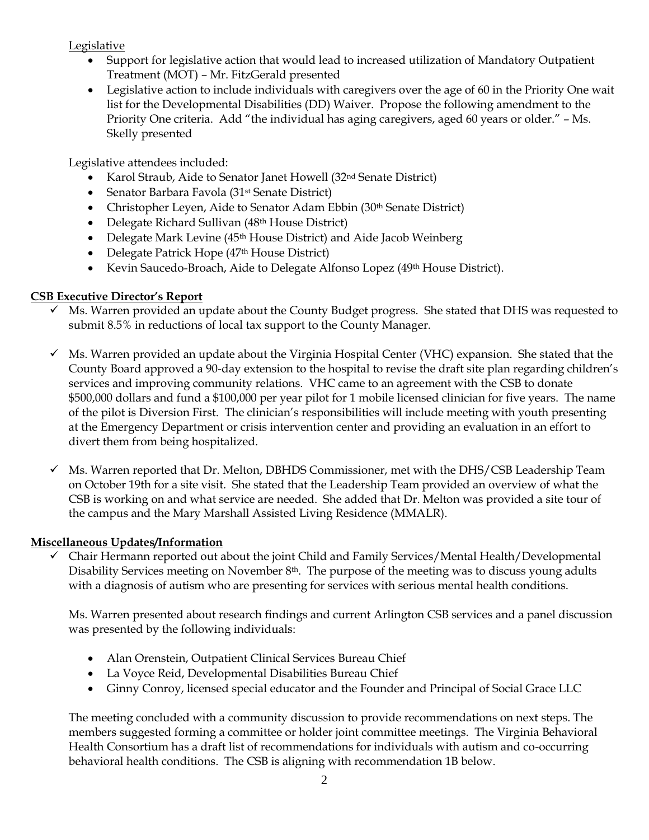Legislative

- Support for legislative action that would lead to increased utilization of Mandatory Outpatient Treatment (MOT) – Mr. FitzGerald presented
- Legislative action to include individuals with caregivers over the age of 60 in the Priority One wait list for the Developmental Disabilities (DD) Waiver. Propose the following amendment to the Priority One criteria. Add "the individual has aging caregivers, aged 60 years or older." – Ms. Skelly presented

Legislative attendees included:

- Karol Straub, Aide to Senator Janet Howell (32<sup>nd</sup> Senate District)
- Senator Barbara Favola (31<sup>st</sup> Senate District)
- Christopher Leyen, Aide to Senator Adam Ebbin (30<sup>th</sup> Senate District)
- Delegate Richard Sullivan (48<sup>th</sup> House District)
- Delegate Mark Levine (45<sup>th</sup> House District) and Aide Jacob Weinberg
- Delegate Patrick Hope (47<sup>th</sup> House District)
- Kevin Saucedo-Broach, Aide to Delegate Alfonso Lopez (49<sup>th</sup> House District).

# **CSB Executive Director's Report**

- Ms. Warren provided an update about the County Budget progress. She stated that DHS was requested to submit 8.5% in reductions of local tax support to the County Manager.
- $\checkmark$  Ms. Warren provided an update about the Virginia Hospital Center (VHC) expansion. She stated that the County Board approved a 90-day extension to the hospital to revise the draft site plan regarding children's services and improving community relations. VHC came to an agreement with the CSB to donate \$500,000 dollars and fund a \$100,000 per year pilot for 1 mobile licensed clinician for five years. The name of the pilot is Diversion First. The clinician's responsibilities will include meeting with youth presenting at the Emergency Department or crisis intervention center and providing an evaluation in an effort to divert them from being hospitalized.
- $\checkmark$  Ms. Warren reported that Dr. Melton, DBHDS Commissioner, met with the DHS/CSB Leadership Team on October 19th for a site visit. She stated that the Leadership Team provided an overview of what the CSB is working on and what service are needed. She added that Dr. Melton was provided a site tour of the campus and the Mary Marshall Assisted Living Residence (MMALR).

# **Miscellaneous Updates/Information**

✓ Chair Hermann reported out about the joint Child and Family Services/Mental Health/Developmental Disability Services meeting on November 8<sup>th</sup>. The purpose of the meeting was to discuss young adults with a diagnosis of autism who are presenting for services with serious mental health conditions.

Ms. Warren presented about research findings and current Arlington CSB services and a panel discussion was presented by the following individuals:

- Alan Orenstein, Outpatient Clinical Services Bureau Chief
- La Voyce Reid, Developmental Disabilities Bureau Chief
- Ginny Conroy, licensed special educator and the Founder and Principal of Social Grace LLC

The meeting concluded with a community discussion to provide recommendations on next steps. The members suggested forming a committee or holder joint committee meetings. The Virginia Behavioral Health Consortium has a draft list of recommendations for individuals with autism and co-occurring behavioral health conditions. The CSB is aligning with recommendation 1B below.